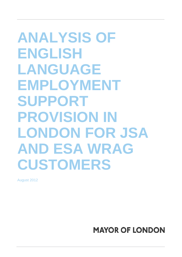**ANALYSIS OF ENGLISH LANGUAGE EMPLOYMENT SUPPORT PROVISION IN LONDON FOR JSA AND ESA WRAG CUSTOMERS** 

August 2012

**MAYOR OF LONDON**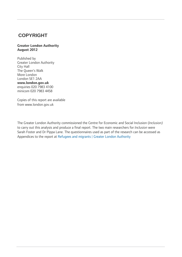## **COPYRIGHT**

#### **Greater London Authority August 2012**

Published by Greater London Authority City Hall The Queen's Walk More London London SE1 2AA **www.london.gov.uk**  enquiries 020 7983 4100 minicom 020 7983 4458

Copies of this report are available from www.london.gov.uk

The Greater London Authority commissioned the Centre for Economic and Social Inclusion (*Inclusion)*  to carry out this analysis and produce a final report. The two main researchers for *Inclusion* were Sarah Foster and Dr Pippa Lane. The questionnaires used as part of the research can be accessed as Appendices to the report at [Refugees and migrants | Greater London Authority](http://www.london.gov.uk/refugees-and-migrants)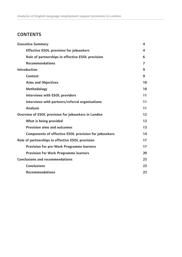## **CONTENTS**

| <b>Executive Summary</b>                                     | 4  |
|--------------------------------------------------------------|----|
| <b>Effective ESOL provision for jobseekers</b>               | 4  |
| Role of partnerships in effective ESOL provision             | 6  |
| <b>Recommendations</b>                                       | 7  |
| <b>Introduction</b>                                          | 9  |
| <b>Context</b>                                               | 9  |
| <b>Aims and Objectives</b>                                   | 10 |
| <b>Methodology</b>                                           | 10 |
| <b>Interviews with ESOL providers</b>                        | 11 |
| Interviews with partners/referral organisations              | 11 |
| <b>Analysis</b>                                              | 11 |
| Overview of ESOL provision for jobseekers in London          |    |
| <b>What is being provided</b>                                | 12 |
| <b>Provision aims and outcomes</b>                           | 13 |
| <b>Components of effective ESOL provision for jobseekers</b> | 14 |
| Role of partnerships in effective ESOL provision             | 17 |
| <b>Provision for pre-Work Programme learners</b>             | 17 |
| <b>Provision for Work Programme learners</b>                 | 20 |
| <b>Conclusions and recommendations</b>                       | 23 |
| <b>Conclusions</b>                                           | 23 |
| <b>Recommendations</b>                                       | 23 |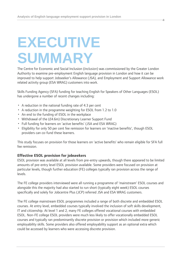## **EXECUTIVE SUMMARY**

The Centre for Economic and Social Inclusion (*Inclusion*) was commissioned by the Greater London Authority to examine pre-employment English language provision in London and how it can be improved to help support Jobseeker's Allowance (JSA), and Employment and Support Allowance work related activity group (ESA WRAG) customers into work.

<span id="page-3-0"></span> **4** 

Skills Funding Agency (SFA) funding for teaching English for Speakers of Other Languages (ESOL) has undergone a number of recent changes including:

- A reduction in the national funding rate of 4.3 per cent
- A reduction in the programme weighting for ESOL from 1.2 to 1.0
- An end to the funding of ESOL in the workplace
- Withdrawal of the (£4.6m) Discretionary Learner Support Fund
- Full funding for learners on 'active benefits' (JSA and ESA WRAG)
- Eligibility for only 50 per cent fee remission for learners on 'inactive benefits', though ESOL providers can co-fund these learners.

This study focuses on provision for those learners on 'active benefits' who remain eligible for SFA full fee remission.

#### **Effective ESOL provision for jobseekers**

ESOL provision was available at all levels from pre-entry upwards, though there appeared to be limited amounts of pre-entry level ESOL provision available. Some providers were focused on provision at particular levels, though further education (FE) colleges typically ran provision across the range of levels.

The FE college providers interviewed were all running a programme of 'mainstream' ESOL courses and alongside this the majority had also started to run short (typically eight week) ESOL courses specifically and solely for Jobcentre Plus (JCP) referred JSA and ESA WRAG customers.

The FE college mainstream ESOL programmes included a range of both discrete and embedded ESOL courses. At entry level, embedded courses typically involved the inclusion of soft skills development, IT and citizenship. At level 1 and 2, many FE colleges offered vocational courses with embedded ESOL. Non-FE college ESOL providers were much less likely to offer vocationally embedded ESOL courses and typically ran predominantly discrete provision or provision which included more generic employability skills. Some providers also offered employability support as an optional extra which could be accessed by learners who were accessing discrete provision.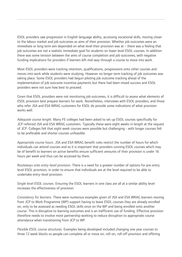ESOL providers saw progression in English language ability, accessing vocational skills, moving closer to the labour market and job outcomes as aims of their provision. Whether job outcomes were an immediate or long term aim depended on what level their provision was at – there was a feeling that job outcomes are not a realistic immediate goal for students on lower level ESOL courses. In addition there was some tension between the aims of course completion and job outcomes, with negative funding implications for providers if learners left mid-way through a course to move into work.

Most ESOL providers were tracking retention, qualifications, progressions onto other courses and moves into work while students were studying. However no longer term tracking of job outcomes was taking place. Some ESOL providers had begun piloting job outcome tracking ahead of the implementation of job outcome incentive payments but there had been mixed success and ESOL providers were not sure how best to proceed.

Given that ESOL providers were not monitoring job outcomes, it is difficult to assess what elements of ESOL provision best prepare learners for work. Nonetheless, interviews with ESOL providers, and those who refer JSA and ESA WRAG customers for ESOL do provide some indications of what provision works well

*Adequate course length.* Many FE colleges had been asked to set up ESOL courses specifically for JCP-referred JSA and ESA WRAG customers. Typically these were eight weeks in length at the request of JCP. Colleges felt that eight week courses were possible but challenging - with longer courses felt to be preferable and shorter courses unfeasible.

*Appropriate course hours.* JSA and ESA WRAG benefit rules restrict the number of hours for which individuals can attend courses and so it is important that providers running ESOL courses which may be of benefit to learners on active benefits ensure sufficient amounts of their provision is under 16 hours per week and thus can be accessed by them.

*Routeways onto entry-level provision.* There is a need for a greater number of options for pre-entry level ESOL provision, in order to ensure that individuals are at the level required to be able to undertake entry-level provision.

*Single level ESOL courses.* Ensuring the ESOL learners in one class are all at a similar ability level increases the effectiveness of provision.

*Consistency for learners.* There were numerous examples given of JSA and ESA WRAG learners moving from JCP to Work Programme (WP) support having to leave ESOL courses they are already enrolled on, only to be assessed as needing ESOL skills once on the WP and being enrolled onto another course. This is disruptive to learning outcomes and is an inefficient use of funding. Effective provision therefore needs to involve more partnership working to reduce disruption to appropriate course attendance when transitioning from JCP to WP.

*Flexible ESOL course structures.* Examples being developed included changing one year courses to three 12 week blocks so people can complete all or move on; roll-on, roll-off provision and offering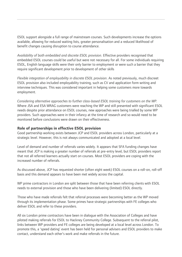<span id="page-5-0"></span>ESOL support alongside a full range of mainstream courses. Such developments increase the options available, allowing for reduced waiting lists, greater personalisation and a reduced likelihood of benefit changes causing disruption to course attendance.

*Availability of both embedded and discrete ESOL provision.* Effective providers recognised that embedded ESOL courses could be useful but were not necessary for all. For some individuals requiring ESOL, English language skills were their only barrier to employment or were such a barrier that they require significant development prior to development of other skills

*Flexible integration of employability in discrete ESOL provision*. As noted previously, much discreet ESOL provision also included employability training, such as CV and application form writing and interview techniques. This was considered important in helping some customers more towards employment.

*Considering alternative approaches to further class-based ESOL training for customers on the WP.* Where JSA and ESA WRAG customers were reaching the WP and still presented with significant ESOL needs despite prior attendance on ESOL courses, new approaches were being trialled by some WP providers. Such approaches were in their infancy at the time of research and so would need to be monitored before conclusions were drawn on their effectiveness.

#### **Role of partnerships in effective ESOL provision**

Good partnership working exists between JCP and ESOL providers across London, particularly at a strategic level. However, this is not always communicated and adopted at a local level.

Level of demand and number of referrals varies widely. It appears that SFA funding changes have meant that JCP is making a greater number of referrals at pre-entry level, but ESOL providers report that not all referred learners actually start on courses. Most ESOL providers are coping with the increased number of referrals.

As discussed above, JCP has requested shorter (often eight week) ESOL courses on a roll-on, roll-off basis and this demand appears to have been met widely across the capital.

WP prime contractors in London are split between those that have been referring clients with ESOL needs to external provision and those who have been delivering (limited) ESOL directly.

Those who have made referrals felt that referral processes were becoming better as the WP moved through its implementation phase. Some primes have strategic partnerships with FE colleges who deliver ESOL and refer to these providers.

All six London prime contractors have been in dialogue with the Association of Colleges and have piloted making referrals for ESOL to Hackney Community College. Subsequent to the referral pilot, links between WP providers and FE colleges are being developed at a local level across London. To promote this, a 'speed dating' event has been held for personal advisers and ESOL providers to make contact, understand each other's work and make referrals in the future.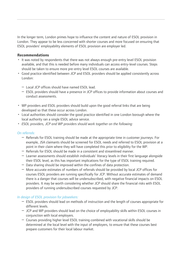<span id="page-6-0"></span>In the longer term, London primes hope to influence the content and nature of ESOL provision in London. They appear to be less concerned with shorter courses and more focused on ensuring that ESOL providers' employability elements of ESOL provision are employer led.

#### **Recommendations**

- It was noted by respondents that there was not always enough pre-entry level ESOL provision available, and that this is needed before many individuals can access entry-level courses. Steps should be taken to ensure more pre-entry level ESOL courses are available.
- Good practice identified between JCP and ESOL providers should be applied consistently across London:
	- Local JCP offices should have named ESOL lead.
	- ESOL providers should have a presence in JCP offices to provide information about courses and conduct assessments.
- WP providers and ESOL providers should build upon the good referral links that are being developed so that these occur across London.
- Local authorities should consider the good practice identified in one London borough where the local authority ran a single ESOL advice service.
- *ESOL providers, JCP and WP providers should work together on the following:*

#### *On referrals:*

- Referrals for ESOL training should be made at the appropriate time in customer journeys. For example, JSA claimants should be screened for ESOL needs and referred to ESOL provision at a point in their claim where they will have completed this prior to eligibility for the WP.
- Referrals for ESOL should be made in a consistent and streamlined manner.
- Learner assessments should establish individuals' literacy levels in their first language alongside their ESOL level, as this has important implications for the type of ESOL training required.
- Data sharing should be improved within the confines of data protection.
- More accurate estimates of numbers of referrals should be provided by local JCP offices for courses ESOL providers are running specifically for JCP. Without accurate estimates of demand there is a danger that courses will be undersubscribed, with negative financial impacts on ESOL providers. It may be worth considering whether JCP should share the financial risks with ESOL providers of running undersubscribed courses requested by JCP.

#### *In design of ESOL provision for jobseekers:*

- ESOL providers should lead on methods of instruction and the length of courses appropriate for different levels.
- JCP and WP providers should lead on the choice of employability skills within ESOL courses in conjunction with local employers.
- Courses providing higher level ESOL training combined with vocational skills should be determined at the local level with the input of employers, to ensure that these courses best prepare customers for their local labour market.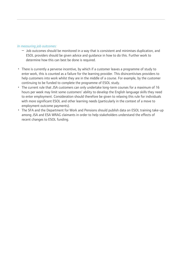#### *In measuring job outcomes:*

- $-$  Job outcomes should be monitored in a way that is consistent and minimises duplication, and ESOL providers should be given advice and guidance in how to do this. Further work to determine how this can best be done is required.
- There is currently a perverse incentive, by which if a customer leaves a programme of study to enter work, this is counted as a failure for the learning provider. This disincentivises providers to help customers into work whilst they are in the middle of a course. For example, by the customer continuing to be funded to complete the programme of ESOL study.
- The current rule that JSA customers can only undertake long-term courses for a maximum of 16 hours per week may limit some customers' ability to develop the English language skills they need to enter employment. Consideration should therefore be given to relaxing this rule for individuals with more significant ESOL and other learning needs (particularly in the context of a move to employment outcome payments).
- The SFA and the Department for Work and Pensions should publish data on ESOL training take-up among JSA and ESA WRAG claimants in order to help stakeholders understand the effects of recent changes to ESOL funding.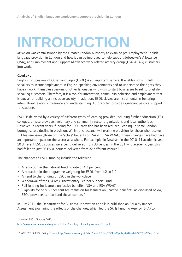# **INTRODUCTION**

*Inclusion* was commissioned by the Greater London Authority to examine pre-employment English language provision in London and how it can be improved to help support Jobseeker's Allowance (JSA), and Employment and Support Allowance work related activity group (ESA WRAG) customers into work.

## **Context**

English for Speakers of Other languages (ESOL) is an important service. It enables non-English speakers to secure employment in English-speaking environments and to understand the rights they have in work. It enables speakers of other languages who wish to start businesses to sell to Englishspeaking customers. Therefore, it is a tool for integration, community cohesion and employment that is crucial for building an inclusive society. In addition, ESOL classes are instrumental in fostering intercultural relations, tolerance and understanding. Tutors often provide significant pastoral support for students.

ESOL is delivered by a variety of different types of learning provider, including further education (FE) colleges, private providers, voluntary and community sector organisations and local authorities. However, in recent years, funding for ESOL provision has been reduced, leading, in some London boroughs, to a decline in provision. Whilst this research will examine provision for those who receive full fee remission (those on the 'active' benefits of JSA and ESA WRAG), these changes have had have an important impact on the sector as a whole. For example, in Newham in the 2010–11 academic year, 50 different ESOL courses were being delivered from 38 venues. In the 2011–12 academic year this had fallen to just 26 ESOL courses delivered from 22 different venues.<sup>[1](#page-8-1)</sup>

The changes to ESOL funding include the following:

- A reduction in the national funding rate of 4.3 per cent
- A reduction in the programme weighting for ESOL from 1.2 to 1.0
- An end to the funding of ESOL in the workplace
- Withdrawal of the (£4.6m) Discretionary Learner Support Fund
- Full funding for learners on 'active benefits' (JSA and ESA WRAG)
- Eligibility for only 50 per cent fee remission for learners on 'inactive benefits'. As discussed below, ESOL providers can co-fund these learners.<sup>[2](#page-8-2)</sup>

In July 2011, the Department for Business, Innovation and Skills published an Equality Impact Assessment examining the effects of the changes, which led the Skills Funding Agency (SFA) to

 $\overline{a}$ 

<span id="page-8-0"></span> **9** 

<span id="page-8-1"></span><sup>&</sup>lt;sup>1</sup> Newham ESOL Directory 2011,

[http://www.aston-mansfield.org.uk/pdf\\_docs/directory\\_of\\_esol\\_provision\\_2011.pdf](http://www.aston-mansfield.org.uk/pdf_docs/directory_of_esol_provision_2011.pdf)

<span id="page-8-2"></span><sup>2</sup> NIACE (2011), ESOL Policy Update, [http://www.niace.org.uk/sites/default/files/ESOL%20policy%20update%208%20Sep\\_0.pdf](http://www.niace.org.uk/sites/default/files/ESOL%20policy%20update%208%20Sep_0.pdf)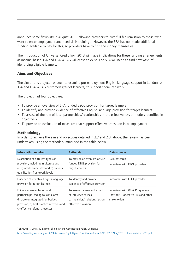<span id="page-9-0"></span>announce some flexibility in August 2011, allowing providers to give full fee remission to those 'who want to enter employment and need skills training'.<sup>[3](#page-9-1)</sup> However, the SFA has not made additional funding available to pay for this, so providers have to find the money themselves.

The introduction of Universal Credit from 2013 will have implications for these funding arrangements, as income-based JSA and ESA WRAG will cease to exist. The SFA will need to find new ways of identifying eligible learners.

## **Aims and Objectives**

The aim of this project has been to examine pre-employment English language support in London for JSA and ESA WRAG customers (target learners) to support them into work.

The project had four objectives:

- To provide an overview of SFA funded ESOL provision for target learners
- To identify and provide evidence of effective English language provision for target learners
- To assess of the role of local partnerships/relationships in the effectiveness of models identified in objective 2
- To provide an evaluation of measures that support effective transition into employment.

### **Methodology**

 $\overline{a}$ 

In order to achieve the aim and objectives detailed in 2.7 and 2.8, above, the review has been undertaken using the methods summarised in the table below.

| <b>Information required</b>                                                                                                                                                              | <b>Rationale</b>                                                                                               | Data sources                                                                          |
|------------------------------------------------------------------------------------------------------------------------------------------------------------------------------------------|----------------------------------------------------------------------------------------------------------------|---------------------------------------------------------------------------------------|
| Description of different types of<br>provision, including a) discrete and<br>integrated/embedded and b) national<br>qualification framework levels                                       | To provide an overview of SFA<br>funded ESOL provision for<br>target learners                                  | Desk research<br>Interviews with ESOL providers                                       |
| Evidence of effective English language<br>provision for target learners                                                                                                                  | To identify and provide<br>evidence of effective provision                                                     | Interviews with ESOL providers                                                        |
| Evidenced examples of local<br>partnerships leading to: a) tailored,<br>discrete or integrated/embedded<br>provision, b) best practice activities and<br>c) effective referral processes | To assess the role and extent<br>of influence of local<br>partnerships/relationships on<br>effective provision | Interviews with Work Programme<br>Providers, Jobcentre Plus and other<br>stakeholders |

<span id="page-9-1"></span><sup>&</sup>lt;sup>3</sup> SFA(2011), 2011/12 Learner Eligibility and Contribution Rules. Version 2.1

[http://readingroom.lsc.gov.uk/SFA/LearnerEligibilityandContributionRules\\_2011\\_12\\_12Aug2011\\_\\_June\\_revision\\_V2.1.pdf](http://readingroom.lsc.gov.uk/SFA/LearnerEligibilityandContributionRules_2011_12_12Aug2011__June_revision_V2.1.pdf)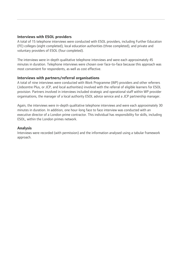### <span id="page-10-0"></span>**Interviews with ESOL providers**

A total of 15 telephone interviews were conducted with ESOL providers, including Further Education (FE) colleges (eight completed), local education authorities (three completed), and private and voluntary providers of ESOL (four completed).

The interviews were in-depth qualitative telephone interviews and were each approximately 45 minutes in duration. Telephone interviews were chosen over face-to-face because this approach was most convenient for respondents, as well as cost effective.

#### **Interviews with partners/referral organisations**

A total of nine interviews were conducted with Work Programme (WP) providers and other referrers (Jobcentre Plus, or JCP, and local authorities) involved with the referral of eligible learners for ESOL provision. Partners involved in interviews included strategic and operational staff within WP provider organisations, the manager of a local authority ESOL advice service and a JCP partnership manager.

Again, the interviews were in-depth qualitative telephone interviews and were each approximately 30 minutes in duration. In addition, one hour-long face to face interview was conducted with an executive director of a London prime contractor. This individual has responsibility for skills, including ESOL, within the London primes network.

#### **Analysis**

Interviews were recorded (with permission) and the information analysed using a tabular framework approach.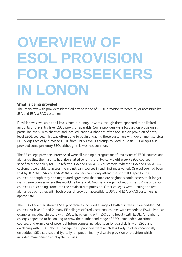## <span id="page-11-0"></span>**OVERVIEW OF ESOL PROVISION FOR JOBSEEKERS IN LONON**

#### **What is being provided**

The interviews with providers identified a wide range of ESOL provision targeted at, or accessible by, JSA and ESA WRAG customers.

Provision was available at all levels from pre-entry upwards, though there appeared to be limited amounts of pre-entry level ESOL provision available. Some providers were focused on provision at particular levels, with charities and local education authorities often focused on provision of entrylevel ESOL courses. This was often done to begin engaging these customers with government services. FE Colleges typically provided ESOL from Entry Level 1 through to Level 2. Some FE Colleges also provided some pre-entry ESOL although this was less common.

The FE college providers interviewed were all running a programme of 'mainstream' ESOL courses and alongside this, the majority had also started to run short (typically eight week) ESOL courses specifically and solely for JCP-referred JSA and ESA WRAG customers. Whether JSA and ESA WRAG customers were able to access the mainstream courses in such instances varied. One college had been told by JCP that JSA and ESA WRAG customers could only attend the short JCP specific ESOL courses, although they had negotiated agreement that complete beginners could access their longer mainstream courses where this would be beneficial. Another college had set up the JCP specific short courses as a stepping stone into their mainstream provision. Other colleges were running the two alongside each other, with both types of provision accessible to JSA and ESA WRAG customers as appropriate.

The FE College mainstream ESOL programmes included a range of both discrete and embedded ESOL courses. At levels 1 and 2, many FE colleges offered vocational courses with embedded ESOL. Popular examples included childcare with ESOL, hairdressing with ESOL and beauty with ESOL. A number of colleges appeared to be looking to grow the number and range of ESOL embedded vocational courses, and examples of potential future courses included security guard skills with ESOL and gardening with ESOL. Non-FE college ESOL providers were much less likely to offer vocationally embedded ESOL courses and typically ran predominantly discrete provision or provision which included more generic employability skills.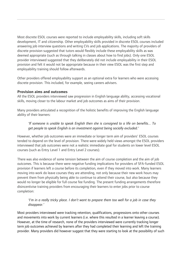<span id="page-12-0"></span>Most discrete ESOL courses were reported to include employability skills, including soft skills development, IT and citizenship. Other employability skills provided in discrete ESOL courses included answering job interview questions and writing CVs and job applications. The majority of providers of discrete provision suggested that tutors would flexibly include these employability skills as was deemed appropriate (such as through talking in classes about how to find jobs). Only one ESOL provider interviewed suggested that they deliberately did not include employability in their ESOL provision and felt it would not be appropriate because in their view ESOL was the first step and employability training should follow afterwards.

Other providers offered employability support as an optional extra for learners who were accessing discrete provision. This included, for example, seeing careers advisers.

#### **Provision aims and outcomes**

All the ESOL providers interviewed saw progression in English language ability, accessing vocational skills, moving closer to the labour market and job outcomes as aims of their provision.

Many providers articulated a recognition of the holistic benefits of improving the English language ability of their learners:

#### *'If someone is unable to speak English then she is consigned to a life on benefits... To get people to speak English is an investment against being socially excluded.'*

However, whether job outcomes were an immediate or longer term aim of providers' ESOL courses tended to depend on the level of provision. There were widely held views amongst the ESOL providers interviewed that job outcomes were not a realistic immediate goal for students on lower level ESOL courses (such as Entry Level 1 and Entry Level 2 courses).

There was also evidence of some tension between the aim of course completion and the aim of job outcomes. This is because there were negative funding implications for providers of SFA-funded ESOL provision if learners left a course before its completion, even if they moved into work. Many learners moving into work do leave courses they are attending, not only because their new work hours may prevent them from physically being able to continue to attend their course, but also because they would no longer be eligible for full course fee funding. The present funding arrangements therefore disincentivise training providers from encouraging their learners to enter jobs prior to course completion:

#### *'I'm in a really tricky place. I don't want to prepare them too well for a job in case they disappear.'*

Most providers interviewed were tracking retention, qualifications, progressions onto other courses and movements into work by current learners (i.e. where this resulted in a learner leaving a course). However, at the time of research, none of the providers interviewed were currently tracking longer term job outcomes achieved by learners after they had completed their learning and left the training provider. Many providers did however suggest that they were starting to look at the possibility of such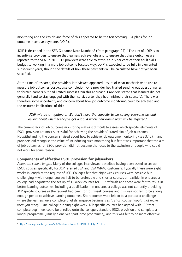<span id="page-13-0"></span>monitoring and the key driving force of this appeared to be the forthcoming SFA plans for job outcome incentive payments (JOIP).

JOIP is described in the SFA Guidance Note Number 8 (from paragraph 2[4](#page-13-1)). $<sup>4</sup>$  The aim of JOIP is to</sup> incentivise providers to ensure that learners achieve jobs and to ensure that these outcomes are reported to the SFA. In 2011–12 providers were able to attribute 2.5 per cent of their adult skills budget to working in a more job outcome focused way. JOIP is expected to be fully implemented in subsequent years, though the details of how these payments will be calculated have not yet been specified.

At the time of research, the providers interviewed appeared unsure of what mechanisms to use to measure job outcomes post-course completion. One provider had trialled sending out questionnaires to former learners but had limited success from this approach. Providers stated that learners did not generally tend to stay engaged with their service after they had finished their course(s). There was therefore some uncertainty and concern about how job outcome monitoring could be achieved and the resource implications of this:

### *'JOIP will be a nightmare. We don't have the capacity to be calling everyone up and asking about whether they've got a job. A whole new admin team will be required.'*

The current lack of job outcome monitoring makes it difficult to assess which specific elements of ESOL provision are most successful for achieving the providers' stated aim of job outcomes. Notwithstanding the concerns raised about how to achieve job outcome monitoring (see 3.12), many providers did recognise the value of introducing such monitoring but felt it was important that the aim of job outcomes for ESOL provision did not become the focus to the exclusion of people who could not work for some reason.

### **Components of effective ESOL provision for jobseekers**

*Adequate course length.* Many of the colleges interviewed described having been asked to set up ESOL courses specifically for JCP referred JSA and ESA WRAG customers. Typically these were eight weeks in length at the request of JCP. Colleges felt that eight week courses were possible but challenging – with longer courses felt to be preferable and shorter courses unfeasible. In one area a college had negotiated the set up of 12 week courses for JCP referrals and these were felt to result in better learning outcomes, including a qualification. In one area a college was not currently providing JCP specific courses as the request had been for four week courses and this was not felt to be a long enough period to achieve learning outcomes. Short courses were felt to be a particular challenge where the learners were complete English language beginners as *'a short course [would] not make them job ready'.* One college running eight week JCP specific courses had agreed with JCP that complete beginners could be enrolled onto the college's standard ESOL provision and complete a longer programme (usually a one year part-time programme), and this was felt to be more effective.

 $\overline{a}$ 

<span id="page-13-1"></span><sup>4</sup> [http://readingroom.lsc.gov.uk/SFA/Guidance\\_Note\\_8\\_FINAL\\_4\\_July\\_2011.pdf](http://readingroom.lsc.gov.uk/SFA/Guidance_Note_8_FINAL_4_July_2011.pdf)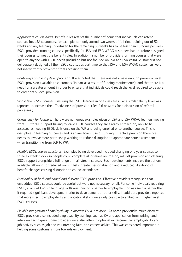*Appropriate course hours.* Benefit rules restrict the number of hours that individuals can attend courses for. JSA customers, for example, can only attend two weeks of full time training out of 52 weeks and any learning undertaken for the remaining 50 weeks has to be less than 16 hours per week. ESOL providers running courses specifically for JSA and ESA WRAG customers had therefore designed their courses to meet the benefit rules. In addition, a number of providers running courses that were open to anyone with ESOL needs (including but not focused on JSA and ESA WRAG customers) had deliberately designed all their ESOL courses as part time so that JSA and ESA WRAG customers were not inadvertently prevented from accessing them.

*Routeways onto entry-level provision.* It was noted that there was not always enough pre-entry level ESOL provision available to customers (in part as a result of funding requirements), and that there is a need for a greater amount in order to ensure that individuals could reach the level required to be able to enter entry-level provision.

*Single level ESOL courses.* Ensuring the ESOL learners in one class are all at a similar ability level was reported to increase the effectiveness of provision. (See 4.6 onwards for a discussion of referral processes.)

*Consistency for learners.* There were numerous examples given of JSA and ESA WRAG learners moving from JCP to WP support having to leave ESOL courses they are already enrolled on, only to be assessed as needing ESOL skills once on the WP and being enrolled onto another course. This is disruptive to learning outcomes and is an inefficient use of funding. Effective provision therefore needs to involve more partnership working to reduce disruption to appropriate course attendance when transitioning from JCP to WP.

*Flexible ESOL course structures.* Examples being developed included changing one year courses to three 12 week blocks so people could complete all or move on; roll-on, roll-off provision and offering ESOL support alongside a full range of mainstream courses. Such developments increase the options available, allowing for reduced waiting lists, greater personalisation and a reduced likelihood of benefit changes causing disruption to course attendance.

*Availability of both embedded and discrete ESOL provision.* Effective providers recognised that embedded ESOL courses could be useful but were not necessary for all. For some individuals requiring ESOL, a lack of English language skills was their only barrier to employment or was such a barrier that it required significant development prior to development of other skills. In addition, providers reported that more specific employability and vocational skills were only possible to embed with higher level ESOL courses.

*Flexible integration of employability in discrete ESOL provision*. As noted previously, much discreet ESOL provision also included employability training, such as CV and application form writing, and interview techniques. Some providers were also offering optional extra-curricular employability and job activity such as job and volunteering fairs, and careers advice. This was considered important in helping some customers more towards employment.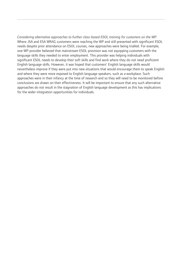*Considering alternative approaches to further class-based ESOL training for customers on the WP.* Where JSA and ESA WRAG customers were reaching the WP and still presented with significant ESOL needs despite prior attendance on ESOL courses, new approaches were being trialled. For example, one WP provider believed that mainstream ESOL provision was not equipping customers with the language skills they needed to enter employment. This provider was helping individuals with significant ESOL needs to develop their soft skills and find work where they do not need proficient English language skills. However, it was hoped that customers' English language skills would nevertheless improve if they were put into new situations that would encourage them to speak English and where they were more exposed to English language speakers, such as a workplace. Such approaches were in their infancy at the time of research and so they will need to be monitored before conclusions are drawn on their effectiveness. It will be important to ensure that any such alternative approaches do not result in the stagnation of English language development as this has implications for the wider integration opportunities for individuals.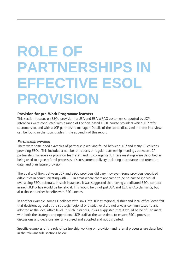# <span id="page-16-0"></span>**ROLE OF PARTNERSHIPS IN EFFECTIVE ESOL PROVISION**

#### **Provision for pre-Work Programme learners**

This section focuses on ESOL provision for JSA and ESA WRAG customers supported by JCP. Interviews were conducted with a range of London-based ESOL course providers which JCP refer customers to, and with a JCP partnership manager. Details of the topics discussed in these interviews can be found in the topic guides in the appendix of this report.

#### **Partnership working**

There were some good examples of partnership working found between JCP and many FE colleges providing ESOL. This included a number of reports of regular partnership meetings between JCP partnership managers or provision team staff and FE college staff. These meetings were described as being used to agree referral processes, discuss current delivery including attendance and retention data, and plan future provision.

The quality of links between JCP and ESOL providers did vary, however. Some providers described difficulties in communicating with JCP in areas where there appeared to be no named individual overseeing ESOL referrals. In such instances, it was suggested that having a dedicated ESOL contact in each JCP office would be beneficial. This would help not just JSA and ESA WRAG claimants, but also those on other benefits with ESOL needs.

In another example, some FE colleges with links into JCP at regional, district and local office levels felt that decisions agreed at the strategic regional or district level are not always communicated to and adopted at the local office level. In such instances, it was suggested that it would be helpful to meet with both the strategic and operational JCP staff at the same time, to ensure ESOL provision discussions and decisions are fully agreed and adopted and not disjointed.

Specific examples of the role of partnership working on provision and referral processes are described in the relevant sub-sections below.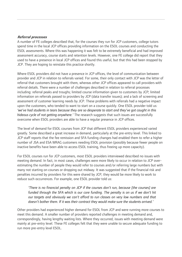#### **Referral processes**

A number of FE colleges described that, for the courses they run for JCP customers, college tutors spend time in the local JCP offices providing information on the ESOL courses and conducting the ESOL assessments. Where this was happening it was felt to be extremely beneficial and had improved assessment accuracy, course starts and retention levels. However, one FE college did report that they used to have a presence in local JCP offices and found this useful, but that this had been stopped by JCP. They are hoping to reinstate this practice shortly.

Where ESOL providers did not have a presence in JCP offices, the level of communication between provider and JCP in relation to referrals varied. For some, their only contact with JCP was the letter of referral that customers brought with them, whereas other JCP offices appeared to call providers with referral details. There were a number of challenges described in relation to referral processes including: referral peaks and troughs; limited course information given to customers by JCP; limited information on referrals passed to providers by JCP (data transfer issues); and a lack of screening and assessment of customer learning needs by JCP. These problems with referrals had a negative impact upon the customers, who tended to want to start on a course quickly. One ESOL provider told us: *'we've had students in tears because they are so desperate to start and they've got caught in this hideous cycle of not getting anywhere.'* The research suggests that such issues are successfully overcome when ESOL providers are able to have a regular presence in JCP offices.

The level of demand for ESOL courses from JCP that different ESOL providers experienced varied greatly. Some described a great increase in demand, particularly at the pre-entry level. This linked to JCP staff reports that the fee remission and SFA funding changes had enabled them to refer a higher number of JSA and ESA WRAG customers needing ESOL provision (possibly because fewer people on inactive benefits have been able to access ESOL training, thus freeing up more capacity).

For ESOL courses run for JCP customers, most ESOL providers interviewed described no issues with meeting demand. In fact, in most cases, challenges were more likely to occur in relation to JCP overestimating the number of people they would refer to courses and/or referring large numbers but with many not starting on courses or dropping out midway. It was suggested that if the financial risk and penalties incurred by providers for this were shared by JCP, they would be more likely to work to reduce such occurrences. For example, one ESOL provider told us:

*'There is no financial penalty on JCP if the courses don't run, because [the courses] are funded through the SFA which is our core funding. The penalty is on us if we don't hit our targets and obviously we can't afford to run classes on very low numbers and that doesn't bother them. If it was their contract they would make sure the students arrived.'* 

Other providers had experienced higher demand for ESOL from JCP and were running more courses to meet this demand. A smaller number of providers reported challenges in meeting demand and, correspondingly, having lengthy waiting lists. Where they occurred, issues with meeting demand were mainly at pre-entry level. These FE colleges felt that they were unable to secure adequate funding to run more pre-entry level ESOL.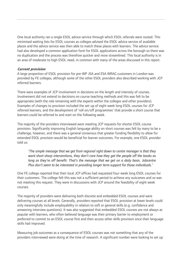One local authority ran a single ESOL advice service through which ESOL referrals were routed. This minimised waiting lists for ESOL courses as colleges advised the ESOL advice service of available places and the advice service was then able to match these places with learners. The advice service had also developed a common application form for ESOL applications across the borough so there was no duplication and the process was therefore quicker and more streamlined. This local authority is in an area of moderate to high ESOL need, in common with many of the areas discussed in this report.

#### **Current provision**

A large proportion of ESOL provision for pre-WP JSA and ESA WRAG customers in London was provided by FE colleges, although some of the other ESOL providers also described working with JCP referred learners.

There were examples of JCP involvement in decisions on the length and intensity of courses. Involvement did not extend to decisions on course teaching methods and this was felt to be appropriate (with the role remaining with the experts within the colleges and other providers). Examples of changes to provision included the set-up of eight week long ESOL courses for JCP referred learners, and the development of 'roll on/off programmes' that provide a short course that learners could be referred to and start on the following week.

The majority of the providers interviewed were meeting JCP requests for shorter ESOL course provision. Significantly improving English language ability on short courses was felt by many to be a challenge, however, and there was a general consensus that greater funding flexibility to allow for extended ESOL provision would be beneficial for learner outcomes. For example, one ESOL provider told us:

*'The simple message that we get from regional right down to centre manager is that they want short sharp interventions, they don't care how they get the people off the books as long as they're off benefit. That's the message that we get on a daily basis. Jobcentre Plus don't seem to be interested in providing longer term support for those individuals.'* 

One FE college reported that their local JCP offices had requested four-week long ESOL courses for their customers. The college felt this was not a sufficient period to achieve any outcomes and so was not meeting this request. They were in discussions with JCP around the feasibility of eight week courses.

The majority of providers were delivering both discrete and embedded ESOL courses and were delivering courses at all levels. Generally, providers reported that ESOL provision at lower levels could only meaningfully include employability in relation to soft or general skills (e.g. confidence and answering interview questions). It was also suggested that embedded ESOL courses are not always as popular with learners, who often believed language was their primary barrier to employment or preferred to commit to an ESOL course first and then access other skills provision once their language skills had improved.

Measuring job outcomes as a consequence of ESOL courses was not something that any of the providers interviewed were doing at the time of research. A significant number were looking to set up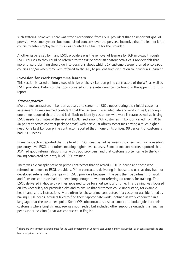<span id="page-19-0"></span>such systems, however. There was strong recognition from ESOL providers that an important goal of provision was employment, but some raised concerns over the perverse incentive that if a learner left a course to enter employment, this was counted as a failure for the provider.

Another issue raised by many ESOL providers was the removal of learners by JCP mid-way through ESOL courses so they could be referred to the WP or other mandatory activities. Providers felt that more forward planning should go into decisions about which JCP customers were referred onto ESOL courses and/or when they were referred to the WP, to prevent such disruption to individuals' learning.

#### **Provision for Work Programme learners**

This section is based on interviews with five of the six London prime contractors of the WP, as well as ESOL providers. Details of the topics covered in these interviews can be found in the appendix of this report.

#### **Current practice**

 $\overline{a}$ 

Most prime contractors in London appeared to screen for ESOL needs during their initial customer assessment. Primes seemed confident that their screening was adequate and working well, although one prime reported that it found it difficult to identify customers who were illiterate as well as having ESOL needs. Estimates of the level of ESOL need among WP customers in London varied from 10 to 40 per cent across contract package areas<sup>[5](#page-19-1)</sup> with particular offices sometimes having a much higher need. One East London prime contractor reported that in one of its offices, 98 per cent of customers had ESOL needs.

Prime contractors reported that the level of ESOL need varied between customers, with some needing pre-entry level ESOL and others needing higher level courses. Some prime contractors reported that JCP had good referral relationships with ESOL providers, and that customers often came to the WP having completed pre-entry level ESOL training.

There was a clear split between prime contractors that delivered ESOL in-house and those who referred customers to ESOL providers. Prime contractors delivering in-house told us that they had not developed referral relationships with ESOL providers because in the past their Department for Work and Pensions contracts had not been long enough to warrant referring customers for training. The ESOL delivered in-house by primes appeared to be for short periods of time. This training was focused on key vocabulary for particular jobs and to ensure that customers could understand, for example, health and safety instructions. More often for these prime contractors, if a customer was identified as having ESOL needs, advisers tried to find them 'appropriate work,' defined as work conducted in a language that the customer spoke. Some WP subcontractors also attempted to broker jobs for their customers where English language was not needed but included other support alongside this (such as peer support sessions) that was conducted in English.

<span id="page-19-1"></span><sup>&</sup>lt;sup>5</sup> There are two contract package areas for the Work Programme in London: East London and West London. Each contract package area has three prime contractors.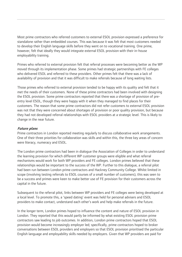Most prime contractors who referred customers to external ESOL provision expressed a preference for standalone rather than embedded courses. This was because it was felt that most customers needed to develop their English language skills before they went on to vocational training. One prime, however, felt that ideally they would integrate external ESOL provision with their in-house employability training.

Primes who referred to external provision felt that referral processes were becoming better as the WP moved through its implementation phase. Some primes had strategic partnerships with FE colleges who delivered ESOL and referred to these providers. Other primes felt that there was a lack of availability of provision and that it was difficult to make referrals because of long waiting lists.

Those primes who referred to external provision tended to be happy with its quality and felt that it met the needs of their customers. None of these prime contractors had been involved with designing the ESOL provision. Some prime contractors reported that there was a shortage of provision of preentry level ESOL, though they were happy with it when they managed to find places for their customers. The reason that some prime contractors did not refer customers to external ESOL provision was not that they were concerned about shortages of provision or poor quality provision, but because they had not developed referral relationships with ESOL providers at a strategic level. This is likely to change in the near future.

#### **Future plans**

Prime contractors in London reported meeting regularly to discuss collaborative work arrangements. One of their three priorities for collaboration was skills and within this, the three key areas of concern were literacy, numeracy and ESOL.

The London prime contractors had been in dialogue the Association of Colleges in order to understand the learning provision for which different WP customer groups were eligible and what referral mechanisms would work for both WP providers and FE colleges. London primes believed that these relationships would be important to the success of the WP. Further to this dialogue, a referral pilot had been run between London prime contractors and Hackney Community College. Whilst limited in scope (involving testing referrals to ESOL courses of a small number of customers), this was seen to be a success and primes were keen to make better use of FE provision for their customers across the capital in the future.

Subsequent to the referral pilot, links between WP providers and FE colleges were being developed at a local level. To promote this, a 'speed dating' event was held for personal advisers and ESOL providers to make contact, understand each other's work and help make referrals in the future.

In the longer term, London primes hoped to influence the content and nature of ESOL provision in London. They reported that this would partly be informed by what existing ESOL provision prime contractors saw leading to job outcomes. In addition, London prime contractors hoped that ESOL provision would become increasingly employer led; specifically, prime contractors hoped to broker conversations between ESOL providers and employers so that ESOL provision prioritised the particular English language and employability skills needed by employers. Given that WP providers are paid for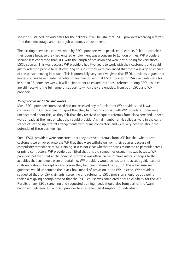securing sustained job outcomes for their clients, it will be vital that ESOL providers receiving referrals from them encourage and record job outcomes of customers.

The existing perverse incentive whereby ESOL providers were penalised if learners failed to complete their course because they had entered employment was a concern to London primes. WP providers seemed less concerned than JCP with the length of provision and were not pushing for very short ESOL courses. This was because WP providers had two years to work with their customers and could justify referring people to relatively long courses if they were convinced that there was a good chance of the person moving into work. This is potentially very positive given that ESOL providers argued that longer courses have greater benefits for learners. Given that ESOL courses for JSA claimants were for less than 16 hours per week, it will be important to ensure that those referred to long ESOL courses are still receiving the full range of support to which they are entitled, from both ESOL and WP providers.

#### **Perspective of ESOL providers**

Most ESOL providers interviewed had not received any referrals from WP providers and it was common for ESOL providers to report that they had had no contact with WP providers. Some were unconcerned about this, as they felt that they received adequate referrals from elsewhere and, indeed, were already at the limit of what they could provide. A small number of FE colleges were in the early stages of setting up referral arrangements with prime contractors and were very positive about the potential of these partnerships.

Some ESOL providers were concerned that they received referrals from JCP but that when these customers were moved onto the WP that they were withdrawn from their courses because of compulsory attendance at WP training. It was not clear whether this was restricted to particular areas or prime contractors. WP providers admitted that this did sometimes occur. This was because WP providers believed that at the point of referral it was often useful to make radical changes to the activities that customers were undertaking. WP providers would be hesitant to accept guidance that customers should be kept on any course they had been referred to by JCP. This is because such guidance would undermine the 'black box' model of provision in the WP. Instead, WP providers suggested that for JSA claimants, screening and referral to ESOL provision should be at a point in their claim giving enough time so that the ESOL course was completed prior to eligibility for the WP. Results of any ESOL screening and suggested training needs should also form part of the 'warm handover' between JCP and WP provider to ensure limited disruption for individuals.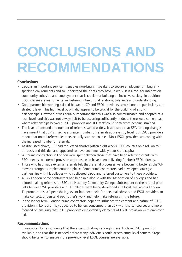## <span id="page-22-0"></span>**CONCLUSIONS AND RECOMMENDATIONS**

#### **Conclusions**

- ESOL is an important service. It enables non-English speakers to secure employment in Englishspeaking environments and to understand the rights they have in work. It is a tool for integration, community cohesion and employment that is crucial for building an inclusive society. In addition, ESOL classes are instrumental in fostering intercultural relations, tolerance and understanding.
- Good partnership working existed between JCP and ESOL providers across London, particularly at a strategic level. This high level buy-in did appear to be crucial for the building of strong partnerships. However, it was equally important that this was also communicated and adopted at a local level, and this was not always felt to be occurring sufficiently. Indeed, there were some areas where relationships between ESOL providers and JCP staff could sometimes become strained.
- The level of demand and number of referrals varied widely. It appeared that SFA funding changes have meant that JCP is making a greater number of referrals at pre-entry level, but ESOL providers report that not all referred learners actually start on courses. Most ESOL providers are coping with the increased number of referrals.
- As discussed above, JCP had requested shorter (often eight week) ESOL courses on a roll-on rolloff basis and this demand appeared to have been met widely across the capital.
- WP prime contractors in London were split between those that have been referring clients with ESOL needs to external provision and those who have been delivering (limited) ESOL directly.
- Those who had made external referrals felt that referral processes were becoming better as the WP moved through its implementation phase. Some prime contractors had developed strategic partnerships with FE colleges which delivered ESOL and referred customers to these providers.
- All six London prime contractors had been in dialogue with the Association of Colleges and had piloted making referrals for ESOL to Hackney Community College. Subsequent to the referral pilot, links between WP providers and FE colleges were being developed at a local level across London. To promote this, a 'speed dating' event had been held for personal advisers and ESOL providers to make contact, understand each other's work and help make referrals in the future.
- In the longer term, London prime contractors hoped to influence the content and nature of ESOL provision in London. They appeared to be less concerned than JCP with shorter courses and more focused on ensuring that ESOL providers' employability elements of ESOL provision were employer led.

#### **Recommendations**

• It was noted by respondents that there was not always enough pre-entry level ESOL provision available, and that this is needed before many individuals could access entry-level courses. Steps should be taken to ensure more pre-entry level ESOL courses are available.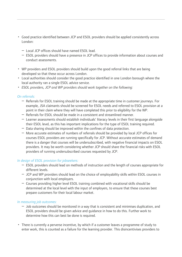- Good practice identified between JCP and ESOL providers should be applied consistently across London:
	- Local JCP offices should have named ESOL lead.
	- ESOL providers should have a presence in JCP offices to provide information about courses and conduct assessments.
- WP providers and ESOL providers should build upon the good referral links that are being developed so that these occur across London.
- Local authorities should consider the good practice identified in one London borough where the local authority ran a single ESOL advice service.
- *ESOL providers, JCP and WP providers should work together on the following:*

#### *On referrals:*

- Referrals for ESOL training should be made at the appropriate time in customer journeys. For example, JSA claimants should be screened for ESOL needs and referred to ESOL provision at a point in their claim where they will have completed this prior to eligibility for the WP.
- Referrals for ESOL should be made in a consistent and streamlined manner.
- Learner assessments should establish individuals' literacy levels in their first language alongside their ESOL level, as this has important implications for the type of ESOL training required.
- Data sharing should be improved within the confines of data protection.
- More accurate estimates of numbers of referrals should be provided by local JCP offices for courses ESOL providers are running specifically for JCP. Without accurate estimates of demand there is a danger that courses will be undersubscribed, with negative financial impacts on ESOL providers. It may be worth considering whether JCP should share the financial risks with ESOL providers of running undersubscribed courses requested by JCP.

#### *In design of ESOL provision for jobseekers:*

- ESOL providers should lead on methods of instruction and the length of courses appropriate for different levels.
- JCP and WP providers should lead on the choice of employability skills within ESOL courses in conjunction with local employers.
- Courses providing higher level ESOL training combined with vocational skills should be determined at the local level with the input of employers, to ensure that these courses best prepare customers for their local labour market.

#### *In measuring job outcomes:*

- Job outcomes should be monitored in a way that is consistent and minimises duplication, and ESOL providers should be given advice and guidance in how to do this. Further work to determine how this can best be done is required.
- There is currently a perverse incentive, by which if a customer leaves a programme of study to enter work, this is counted as a failure for the learning provider. This disincentivises providers to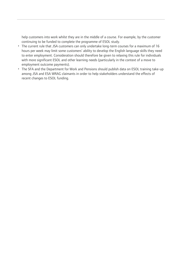help customers into work whilst they are in the middle of a course. For example, by the customer continuing to be funded to complete the programme of ESOL study.

- The current rule that JSA customers can only undertake long-term courses for a maximum of 16 hours per week may limit some customers' ability to develop the English language skills they need to enter employment. Consideration should therefore be given to relaxing this rule for individuals with more significant ESOL and other learning needs (particularly in the context of a move to employment outcome payments).
- The SFA and the Department for Work and Pensions should publish data on ESOL training take-up among JSA and ESA WRAG claimants in order to help stakeholders understand the effects of recent changes to ESOL funding.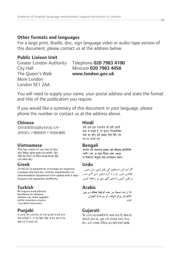## **Other formats and languages**

For a large print, Braille, disc, sign language video or audio-tape version of this document, please contact us at the address below:

## **Public Liaison Unit**

The Queen's Walk **www.london.gov.uk** More London London SE1 2AA

## Greater London Authority Telephone **020 7983 4100** City Hall Minicom **020 7983 4458**

You will need to supply your name, your postal address and state the format and title of the publication you require.

If you would like a summary of this document in your language, please phone the number or contact us at the address above.

**Chinese**<br>加果需要您<del>因</del>語版本的此文件, यदि आप इस दस्तावेज की प्रति अपनी 如果需要您母語版本的此文件, 請致電以下號碼或與下列地址聯絡

này bằng ngôn ngữ của mình, hãy liên hê theo số điên thoai hoặc đia chỉ dưới đây.

**Greek** Urdu<br>Δν θέλετε να αποκτήσετε αντίγραφο του παρόντος *Δν θέλετε να αποκτήσετε αντίγραφ*ο του παρόντος εγγράφου στη δική σας γλώσσα, παρακαλείστε να επικοινωνήσετε τηλεφωνικά στον αριθμό αυτό ή ταχυδρομικά στην παρακάτω διεύθυνση.

hazırlanmış bir nüshasını edinmek için, lütfen asağıdaki telefon numarasını arayınız veya adrese başvurunuz.

**Punjabi Gujarati** ਵਿਚ ਚਾਹੀਦੀ ਹੈ, ਤਾਂ ਹੇਠ ਲਿਖੇ ਨੰਬਰ 'ਤੇ ਫ਼ੋਨ ਕਰੋ ਜਾਂ ਹੇਠ ਲਿਖੇ ਪਤੇ 'ਤੇ ਰਾਬਤਾ ਕਰੋ:

भाषा में चाहते हैं, तो कृपया निम्नलिखित नंबर पर फोन करें अथवा नीचे दिये गये पते पर संपर्क करें

**Vietnamese Bengali**  (কপি) চান, তা হলে নীচের ফোন নম্বরে বা ঠিকানায় অনুগ্রহ করে যোগাযোগ করুন।

چاھتے ھیں، تو ہراہ کرم نیچے دئے گئے نمبر پر فون کریں یا دیئے گئے پتے پر رابطه کریں

**Turkish Arabic**  الاتصال بر قم الهاتف أو مر اسلة العنوان أدناه

જો તમને આ દસ્તાવેજની નકલ તમારી ભાષામાં જોઇતી હોય તો, કપા કરી આપેલ નંબર ઉપર કોન કરો અથવા નીચેના સરનામે સંપર્ક સાદ્યો.